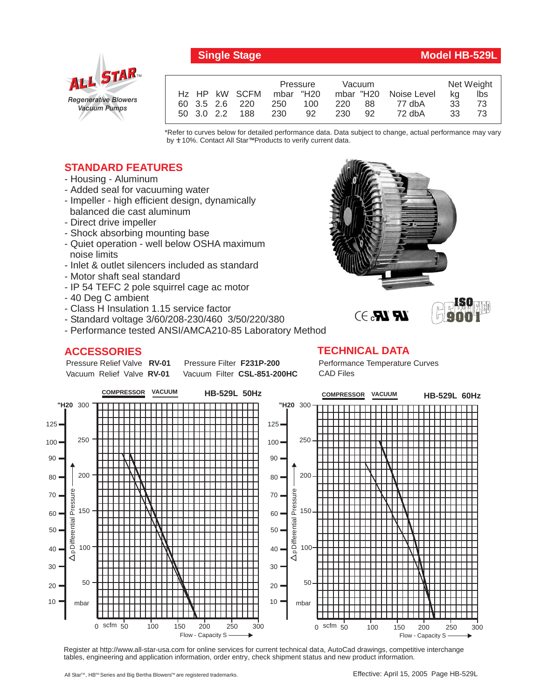

## **Single Stage Model HB-529L**

|  |            |                | Pressure  |     | Vacuum |      |                       | Net Weight |     |
|--|------------|----------------|-----------|-----|--------|------|-----------------------|------------|-----|
|  |            | Hz HP kW SCFM  | mbar "H20 |     |        |      | mbar "H20 Noise Level | ka         | lbs |
|  |            | 60 3.5 2.6 220 | 250       | 100 | 220    | 88   | 77 dbA                | 33         | 73  |
|  | 50 3.0 2.2 | 188            | -230      | 92  | 230    | - 92 | 72 dbA                | 33.        | 73  |

\*Refer to curves below for detailed performance data. Data subject to change, actual performance may vary by **+** 10%. Contact All Star™Products to verify current data.

## **STANDARD FEATURES**

- Housing Aluminum
- Added seal for vacuuming water
- Impeller high efficient design, dynamically balanced die cast aluminum
- Direct drive impeller
- Shock absorbing mounting base
- Quiet operation well below OSHA maximum noise limits
- Inlet & outlet silencers included as standard
- Motor shaft seal standard
- IP 54 TEFC 2 pole squirrel cage ac motor
- 40 Deg C ambient
- Class H Insulation 1.15 service factor
- Standard voltage 3/60/208-230/460 3/50/220/380
- Performance tested ANSI/AMCA210-85 Laboratory Method

## **ACCESSORIES**

Pressure Relief Valve RV-01 Vacuum Relief Valve RV-01

**Pressure Filter F231P-200** Vacuum Filter CSL-851-200HC Performance Temperature Curves CAD Files

 $\bm{R} \bm{R}$ ,  $\rightarrow$ 

**TECHNICAL DATA**



Register at http://www.all-star-usa.com for online services for current technical data, AutoCad drawings, competitive interchange tables, engineering and application information, order entry, check shipment status and new product information.